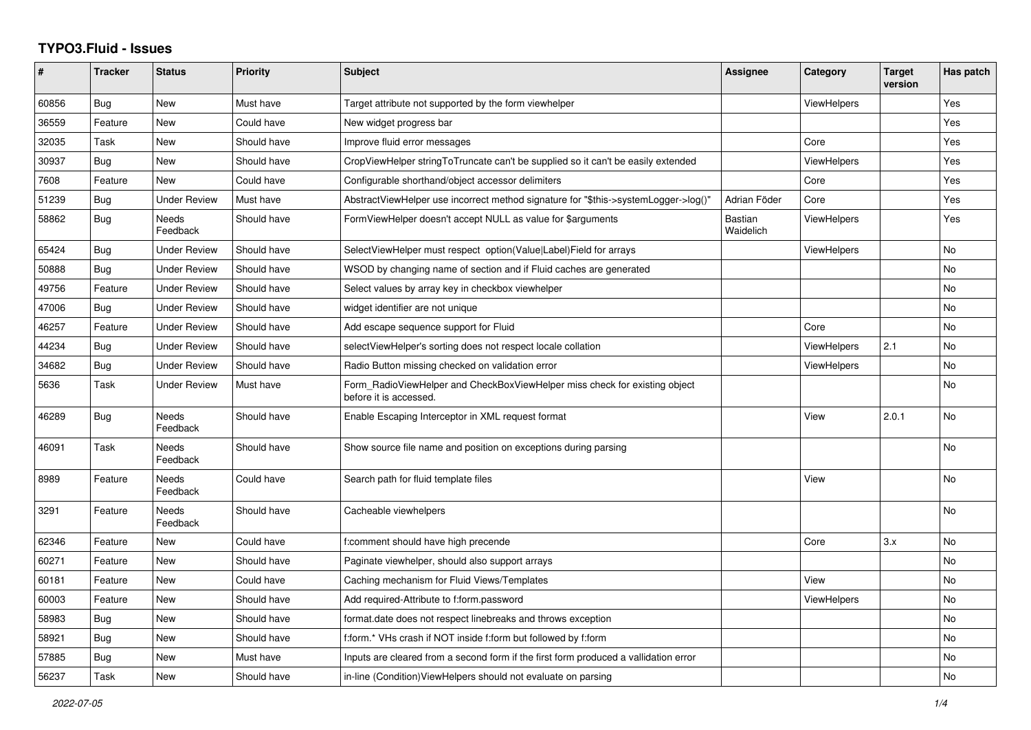## **TYPO3.Fluid - Issues**

| #     | <b>Tracker</b> | <b>Status</b>            | <b>Priority</b> | Subject                                                                                              | <b>Assignee</b>      | Category           | <b>Target</b><br>version | Has patch |
|-------|----------------|--------------------------|-----------------|------------------------------------------------------------------------------------------------------|----------------------|--------------------|--------------------------|-----------|
| 60856 | Bug            | <b>New</b>               | Must have       | Target attribute not supported by the form viewhelper                                                |                      | ViewHelpers        |                          | Yes       |
| 36559 | Feature        | <b>New</b>               | Could have      | New widget progress bar                                                                              |                      |                    |                          | Yes       |
| 32035 | Task           | <b>New</b>               | Should have     | Improve fluid error messages                                                                         |                      | Core               |                          | Yes       |
| 30937 | Bug            | <b>New</b>               | Should have     | CropViewHelper stringToTruncate can't be supplied so it can't be easily extended                     |                      | ViewHelpers        |                          | Yes       |
| 7608  | Feature        | New                      | Could have      | Configurable shorthand/object accessor delimiters                                                    |                      | Core               |                          | Yes       |
| 51239 | Bug            | <b>Under Review</b>      | Must have       | AbstractViewHelper use incorrect method signature for "\$this->systemLogger->log()"                  | Adrian Föder         | Core               |                          | Yes       |
| 58862 | Bug            | <b>Needs</b><br>Feedback | Should have     | FormViewHelper doesn't accept NULL as value for \$arguments                                          | Bastian<br>Waidelich | <b>ViewHelpers</b> |                          | Yes       |
| 65424 | Bug            | <b>Under Review</b>      | Should have     | SelectViewHelper must respect option(Value Label)Field for arrays                                    |                      | <b>ViewHelpers</b> |                          | <b>No</b> |
| 50888 | Bug            | <b>Under Review</b>      | Should have     | WSOD by changing name of section and if Fluid caches are generated                                   |                      |                    |                          | No        |
| 49756 | Feature        | <b>Under Review</b>      | Should have     | Select values by array key in checkbox viewhelper                                                    |                      |                    |                          | No        |
| 47006 | <b>Bug</b>     | <b>Under Review</b>      | Should have     | widget identifier are not unique                                                                     |                      |                    |                          | <b>No</b> |
| 46257 | Feature        | <b>Under Review</b>      | Should have     | Add escape sequence support for Fluid                                                                |                      | Core               |                          | <b>No</b> |
| 44234 | Bug            | <b>Under Review</b>      | Should have     | selectViewHelper's sorting does not respect locale collation                                         |                      | <b>ViewHelpers</b> | 2.1                      | No        |
| 34682 | Bug            | <b>Under Review</b>      | Should have     | Radio Button missing checked on validation error                                                     |                      | <b>ViewHelpers</b> |                          | No        |
| 5636  | Task           | <b>Under Review</b>      | Must have       | Form_RadioViewHelper and CheckBoxViewHelper miss check for existing object<br>before it is accessed. |                      |                    |                          | <b>No</b> |
| 46289 | Bug            | <b>Needs</b><br>Feedback | Should have     | Enable Escaping Interceptor in XML request format                                                    |                      | View               | 2.0.1                    | <b>No</b> |
| 46091 | Task           | Needs<br>Feedback        | Should have     | Show source file name and position on exceptions during parsing                                      |                      |                    |                          | <b>No</b> |
| 8989  | Feature        | Needs<br>Feedback        | Could have      | Search path for fluid template files                                                                 |                      | View               |                          | No        |
| 3291  | Feature        | Needs<br>Feedback        | Should have     | Cacheable viewhelpers                                                                                |                      |                    |                          | No        |
| 62346 | Feature        | New                      | Could have      | f:comment should have high precende                                                                  |                      | Core               | 3.x                      | No        |
| 60271 | Feature        | <b>New</b>               | Should have     | Paginate viewhelper, should also support arrays                                                      |                      |                    |                          | <b>No</b> |
| 60181 | Feature        | <b>New</b>               | Could have      | Caching mechanism for Fluid Views/Templates                                                          |                      | View               |                          | No        |
| 60003 | Feature        | New                      | Should have     | Add required-Attribute to f:form.password                                                            |                      | ViewHelpers        |                          | No        |
| 58983 | Bug            | New                      | Should have     | format.date does not respect linebreaks and throws exception                                         |                      |                    |                          | No        |
| 58921 | Bug            | New                      | Should have     | f:form.* VHs crash if NOT inside f:form but followed by f:form                                       |                      |                    |                          | <b>No</b> |
| 57885 | Bug            | <b>New</b>               | Must have       | Inputs are cleared from a second form if the first form produced a vallidation error                 |                      |                    |                          | No        |
| 56237 | Task           | New                      | Should have     | in-line (Condition) View Helpers should not evaluate on parsing                                      |                      |                    |                          | No        |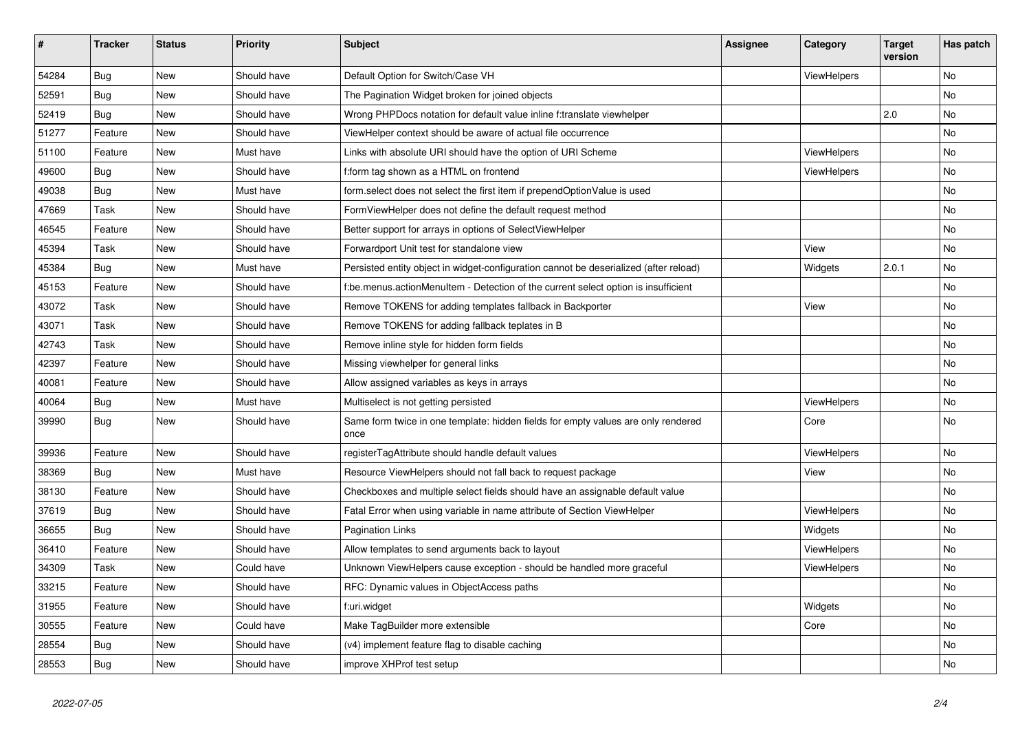| #     | <b>Tracker</b> | <b>Status</b> | <b>Priority</b> | <b>Subject</b>                                                                            | <b>Assignee</b> | Category           | <b>Target</b><br>version | Has patch |
|-------|----------------|---------------|-----------------|-------------------------------------------------------------------------------------------|-----------------|--------------------|--------------------------|-----------|
| 54284 | Bug            | <b>New</b>    | Should have     | Default Option for Switch/Case VH                                                         |                 | ViewHelpers        |                          | <b>No</b> |
| 52591 | <b>Bug</b>     | New           | Should have     | The Pagination Widget broken for joined objects                                           |                 |                    |                          | No        |
| 52419 | Bug            | New           | Should have     | Wrong PHPDocs notation for default value inline f:translate viewhelper                    |                 |                    | 2.0                      | No        |
| 51277 | Feature        | New           | Should have     | ViewHelper context should be aware of actual file occurrence                              |                 |                    |                          | No        |
| 51100 | Feature        | <b>New</b>    | Must have       | Links with absolute URI should have the option of URI Scheme                              |                 | ViewHelpers        |                          | <b>No</b> |
| 49600 | <b>Bug</b>     | <b>New</b>    | Should have     | f:form tag shown as a HTML on frontend                                                    |                 | <b>ViewHelpers</b> |                          | No        |
| 49038 | Bug            | <b>New</b>    | Must have       | form.select does not select the first item if prependOptionValue is used                  |                 |                    |                          | No        |
| 47669 | Task           | <b>New</b>    | Should have     | FormViewHelper does not define the default request method                                 |                 |                    |                          | No        |
| 46545 | Feature        | <b>New</b>    | Should have     | Better support for arrays in options of SelectViewHelper                                  |                 |                    |                          | <b>No</b> |
| 45394 | Task           | <b>New</b>    | Should have     | Forwardport Unit test for standalone view                                                 |                 | View               |                          | <b>No</b> |
| 45384 | <b>Bug</b>     | New           | Must have       | Persisted entity object in widget-configuration cannot be deserialized (after reload)     |                 | Widgets            | 2.0.1                    | No        |
| 45153 | Feature        | New           | Should have     | f:be.menus.actionMenuItem - Detection of the current select option is insufficient        |                 |                    |                          | No        |
| 43072 | Task           | New           | Should have     | Remove TOKENS for adding templates fallback in Backporter                                 |                 | View               |                          | No        |
| 43071 | Task           | <b>New</b>    | Should have     | Remove TOKENS for adding fallback teplates in B                                           |                 |                    |                          | No        |
| 42743 | Task           | <b>New</b>    | Should have     | Remove inline style for hidden form fields                                                |                 |                    |                          | No        |
| 42397 | Feature        | New           | Should have     | Missing viewhelper for general links                                                      |                 |                    |                          | No        |
| 40081 | Feature        | New           | Should have     | Allow assigned variables as keys in arrays                                                |                 |                    |                          | No        |
| 40064 | Bug            | New           | Must have       | Multiselect is not getting persisted                                                      |                 | <b>ViewHelpers</b> |                          | No        |
| 39990 | Bug            | New           | Should have     | Same form twice in one template: hidden fields for empty values are only rendered<br>once |                 | Core               |                          | No        |
| 39936 | Feature        | New           | Should have     | registerTagAttribute should handle default values                                         |                 | <b>ViewHelpers</b> |                          | No        |
| 38369 | Bug            | New           | Must have       | Resource ViewHelpers should not fall back to request package                              |                 | View               |                          | No        |
| 38130 | Feature        | New           | Should have     | Checkboxes and multiple select fields should have an assignable default value             |                 |                    |                          | No        |
| 37619 | <b>Bug</b>     | New           | Should have     | Fatal Error when using variable in name attribute of Section ViewHelper                   |                 | ViewHelpers        |                          | No        |
| 36655 | Bug            | New           | Should have     | <b>Pagination Links</b>                                                                   |                 | Widgets            |                          | No        |
| 36410 | Feature        | New           | Should have     | Allow templates to send arguments back to layout                                          |                 | <b>ViewHelpers</b> |                          | No        |
| 34309 | Task           | <b>New</b>    | Could have      | Unknown ViewHelpers cause exception - should be handled more graceful                     |                 | <b>ViewHelpers</b> |                          | No        |
| 33215 | Feature        | New           | Should have     | RFC: Dynamic values in ObjectAccess paths                                                 |                 |                    |                          | No        |
| 31955 | Feature        | New           | Should have     | f:uri.widget                                                                              |                 | Widgets            |                          | No        |
| 30555 | Feature        | New           | Could have      | Make TagBuilder more extensible                                                           |                 | Core               |                          | No        |
| 28554 | Bug            | <b>New</b>    | Should have     | (v4) implement feature flag to disable caching                                            |                 |                    |                          | No        |
| 28553 | Bug            | <b>New</b>    | Should have     | improve XHProf test setup                                                                 |                 |                    |                          | No        |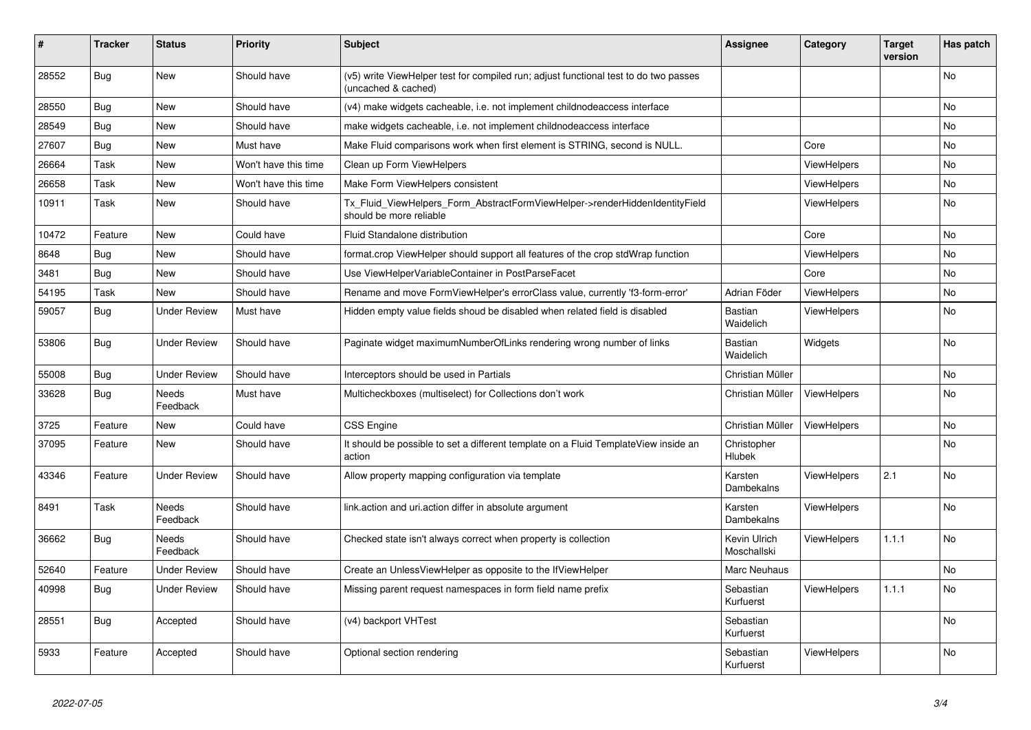| #     | <b>Tracker</b> | <b>Status</b>       | <b>Priority</b>      | <b>Subject</b>                                                                                              | <b>Assignee</b>             | Category           | <b>Target</b><br>version | Has patch      |
|-------|----------------|---------------------|----------------------|-------------------------------------------------------------------------------------------------------------|-----------------------------|--------------------|--------------------------|----------------|
| 28552 | Bug            | New                 | Should have          | (v5) write ViewHelper test for compiled run; adjust functional test to do two passes<br>(uncached & cached) |                             |                    |                          | N <sub>o</sub> |
| 28550 | Bug            | New                 | Should have          | (v4) make widgets cacheable, i.e. not implement childnodeaccess interface                                   |                             |                    |                          | <b>No</b>      |
| 28549 | Bug            | New                 | Should have          | make widgets cacheable, i.e. not implement childnodeaccess interface                                        |                             |                    |                          | <b>No</b>      |
| 27607 | Bug            | New                 | Must have            | Make Fluid comparisons work when first element is STRING, second is NULL.                                   |                             | Core               |                          | N <sub>o</sub> |
| 26664 | Task           | <b>New</b>          | Won't have this time | Clean up Form ViewHelpers                                                                                   |                             | <b>ViewHelpers</b> |                          | No             |
| 26658 | Task           | New                 | Won't have this time | Make Form ViewHelpers consistent                                                                            |                             | <b>ViewHelpers</b> |                          | <b>No</b>      |
| 10911 | Task           | New                 | Should have          | Tx_Fluid_ViewHelpers_Form_AbstractFormViewHelper->renderHiddenIdentityField<br>should be more reliable      |                             | <b>ViewHelpers</b> |                          | <b>No</b>      |
| 10472 | Feature        | <b>New</b>          | Could have           | Fluid Standalone distribution                                                                               |                             | Core               |                          | <b>No</b>      |
| 8648  | Bug            | <b>New</b>          | Should have          | format.crop ViewHelper should support all features of the crop stdWrap function                             |                             | <b>ViewHelpers</b> |                          | <b>No</b>      |
| 3481  | <b>Bug</b>     | New                 | Should have          | Use ViewHelperVariableContainer in PostParseFacet                                                           |                             | Core               |                          | N <sub>o</sub> |
| 54195 | Task           | <b>New</b>          | Should have          | Rename and move FormViewHelper's errorClass value, currently 'f3-form-error'                                | Adrian Föder                | <b>ViewHelpers</b> |                          | <b>No</b>      |
| 59057 | Bug            | <b>Under Review</b> | Must have            | Hidden empty value fields shoud be disabled when related field is disabled                                  | Bastian<br>Waidelich        | <b>ViewHelpers</b> |                          | <b>No</b>      |
| 53806 | <b>Bug</b>     | <b>Under Review</b> | Should have          | Paginate widget maximumNumberOfLinks rendering wrong number of links                                        | Bastian<br>Waidelich        | Widgets            |                          | <b>No</b>      |
| 55008 | Bug            | <b>Under Review</b> | Should have          | Interceptors should be used in Partials                                                                     | Christian Müller            |                    |                          | <b>No</b>      |
| 33628 | <b>Bug</b>     | Needs<br>Feedback   | Must have            | Multicheckboxes (multiselect) for Collections don't work                                                    | Christian Müller            | <b>ViewHelpers</b> |                          | No             |
| 3725  | Feature        | New                 | Could have           | <b>CSS Engine</b>                                                                                           | Christian Müller            | ViewHelpers        |                          | No             |
| 37095 | Feature        | New                 | Should have          | It should be possible to set a different template on a Fluid TemplateView inside an<br>action               | Christopher<br>Hlubek       |                    |                          | No             |
| 43346 | Feature        | <b>Under Review</b> | Should have          | Allow property mapping configuration via template                                                           | Karsten<br>Dambekalns       | <b>ViewHelpers</b> | 2.1                      | No             |
| 8491  | Task           | Needs<br>Feedback   | Should have          | link.action and uri.action differ in absolute argument                                                      | Karsten<br>Dambekalns       | <b>ViewHelpers</b> |                          | <b>No</b>      |
| 36662 | Bug            | Needs<br>Feedback   | Should have          | Checked state isn't always correct when property is collection                                              | Kevin Ulrich<br>Moschallski | ViewHelpers        | 1.1.1                    | <b>No</b>      |
| 52640 | Feature        | <b>Under Review</b> | Should have          | Create an UnlessViewHelper as opposite to the IfViewHelper                                                  | Marc Neuhaus                |                    |                          | <b>No</b>      |
| 40998 | Bug            | Under Review        | Should have          | Missing parent request namespaces in form field name prefix                                                 | Sebastian<br>Kurfuerst      | ViewHelpers        | 1.1.1                    | No.            |
| 28551 | <b>Bug</b>     | Accepted            | Should have          | (v4) backport VHTest                                                                                        | Sebastian<br>Kurfuerst      |                    |                          | N <sub>o</sub> |
| 5933  | Feature        | Accepted            | Should have          | Optional section rendering                                                                                  | Sebastian<br>Kurfuerst      | <b>ViewHelpers</b> |                          | <b>No</b>      |